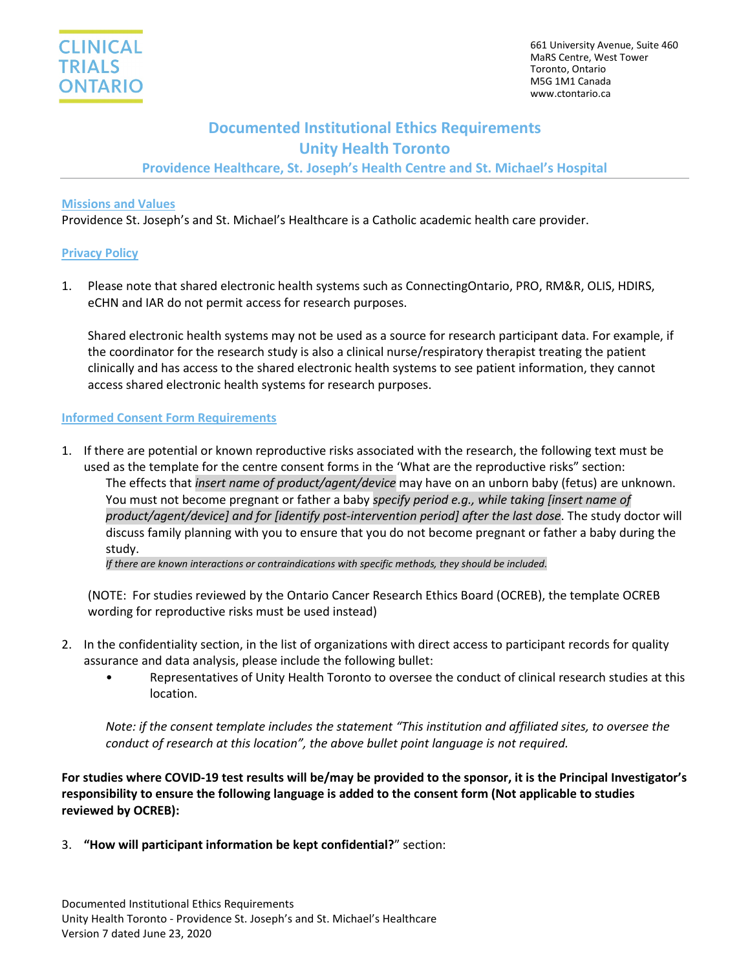# **Documented Institutional Ethics Requirements Unity Health Toronto**

**Providence Healthcare, St. Joseph's Health Centre and St. Michael's Hospital**

#### **Missions and Values**

Providence St. Joseph's and St. Michael's Healthcare is a Catholic academic health care provider.

# **Privacy Policy**

1. Please note that shared electronic health systems such as ConnectingOntario, PRO, RM&R, OLIS, HDIRS, eCHN and IAR do not permit access for research purposes.

Shared electronic health systems may not be used as a source for research participant data. For example, if the coordinator for the research study is also a clinical nurse/respiratory therapist treating the patient clinically and has access to the shared electronic health systems to see patient information, they cannot access shared electronic health systems for research purposes.

# **Informed Consent Form Requirements**

1. If there are potential or known reproductive risks associated with the research, the following text must be used as the template for the centre consent forms in the 'What are the reproductive risks" section: The effects that *insert name of product/agent/device* may have on an unborn baby (fetus) are unknown. You must not become pregnant or father a baby *specify period e.g., while taking [insert name of product/agent/device] and for [identify post-intervention period] after the last dose*. The study doctor will discuss family planning with you to ensure that you do not become pregnant or father a baby during the study.

*If there are known interactions or contraindications with specific methods, they should be included.*

(NOTE: For studies reviewed by the Ontario Cancer Research Ethics Board (OCREB), the template OCREB wording for reproductive risks must be used instead)

- 2. In the confidentiality section, in the list of organizations with direct access to participant records for quality assurance and data analysis, please include the following bullet:
	- Representatives of Unity Health Toronto to oversee the conduct of clinical research studies at this location.

*Note: if the consent template includes the statement "This institution and affiliated sites, to oversee the conduct of research at this location", the above bullet point language is not required.*

**For studies where COVID-19 test results will be/may be provided to the sponsor, it is the Principal Investigator's responsibility to ensure the following language is added to the consent form (Not applicable to studies reviewed by OCREB):**

3. **"How will participant information be kept confidential?**" section: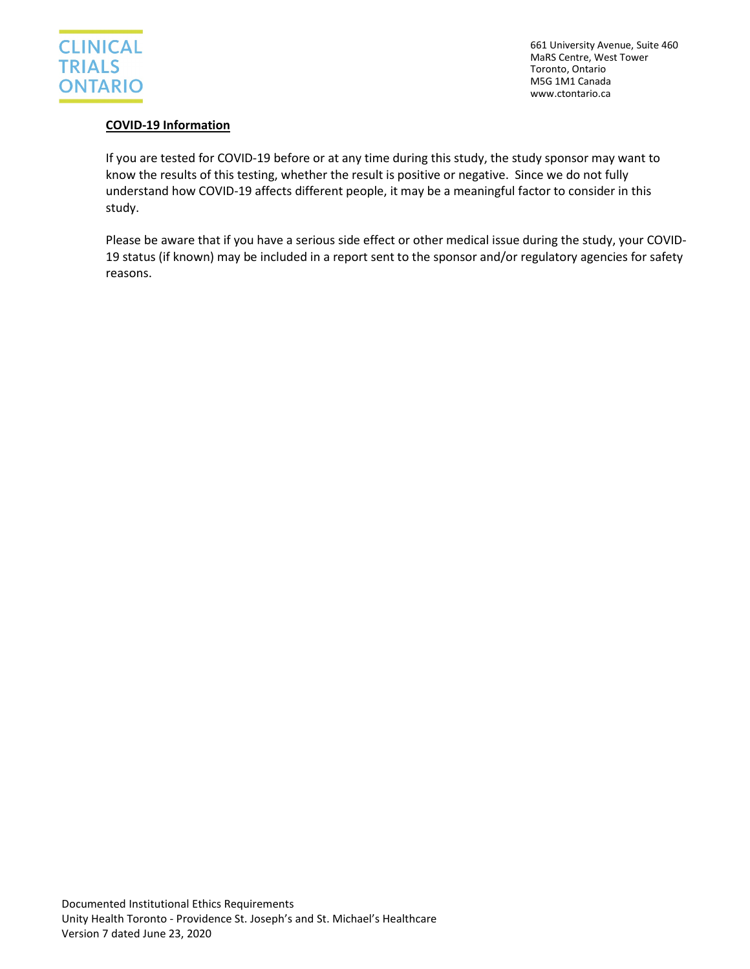

661 University Avenue, Suite 460 MaRS Centre, West Tower Toronto, Ontario M5G 1M1 Canada www.ctontario.ca

# **COVID-19 Information**

If you are tested for COVID-19 before or at any time during this study, the study sponsor may want to know the results of this testing, whether the result is positive or negative. Since we do not fully understand how COVID-19 affects different people, it may be a meaningful factor to consider in this study.

Please be aware that if you have a serious side effect or other medical issue during the study, your COVID-19 status (if known) may be included in a report sent to the sponsor and/or regulatory agencies for safety reasons.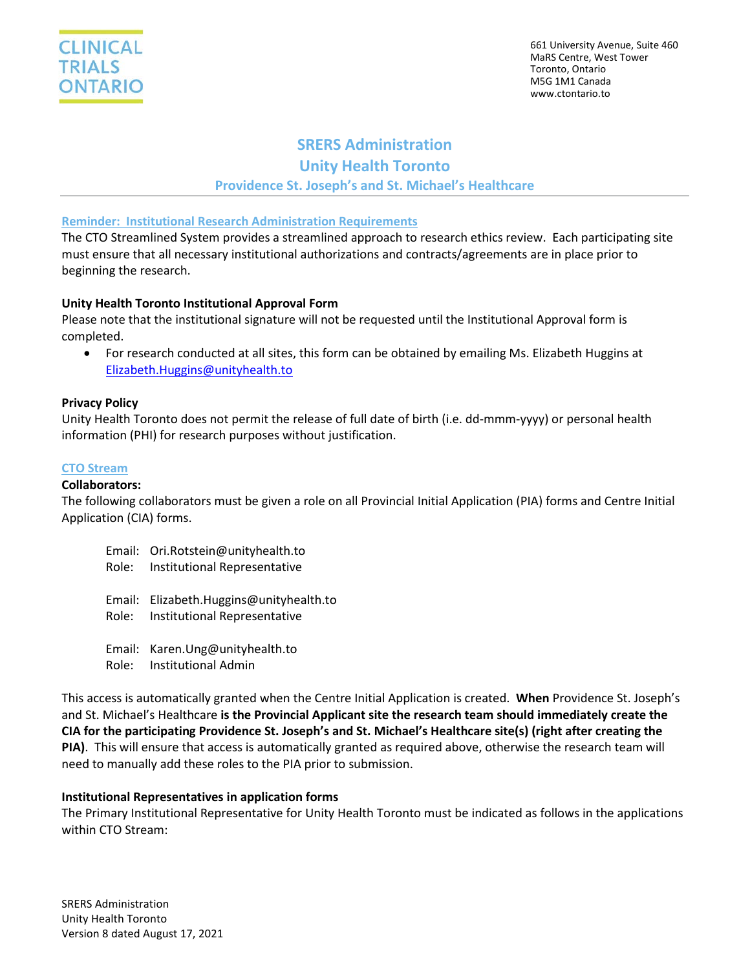# **SRERS Administration Unity Health Toronto Providence St. Joseph's and St. Michael's Healthcare**

#### **Reminder: Institutional Research Administration Requirements**

The CTO Streamlined System provides a streamlined approach to research ethics review. Each participating site must ensure that all necessary institutional authorizations and contracts/agreements are in place prior to beginning the research.

# **Unity Health Toronto Institutional Approval Form**

Please note that the institutional signature will not be requested until the Institutional Approval form is completed.

• For research conducted at all sites, this form can be obtained by emailing Ms. Elizabeth Huggins at [Elizabeth.Huggins@unityhealth.to](mailto:Elizabeth.Huggins@unityhealth.to)

#### **Privacy Policy**

Unity Health Toronto does not permit the release of full date of birth (i.e. dd-mmm-yyyy) or personal health information (PHI) for research purposes without justification.

# **CTO Stream**

#### **Collaborators:**

The following collaborators must be given a role on all Provincial Initial Application (PIA) forms and Centre Initial Application (CIA) forms.

| Email: Ori.Rotstein@unityhealth.to<br>Role: Institutional Representative      |
|-------------------------------------------------------------------------------|
| Email: Elizabeth.Huggins@unityhealth.to<br>Role: Institutional Representative |
| Email: Karen.Ung@unityhealth.to<br>Role: Institutional Admin                  |

This access is automatically granted when the Centre Initial Application is created. **When** Providence St. Joseph's and St. Michael's Healthcare **is the Provincial Applicant site the research team should immediately create the CIA for the participating Providence St. Joseph's and St. Michael's Healthcare site(s) (right after creating the PIA)**. This will ensure that access is automatically granted as required above, otherwise the research team will need to manually add these roles to the PIA prior to submission.

#### **Institutional Representatives in application forms**

The Primary Institutional Representative for Unity Health Toronto must be indicated as follows in the applications within CTO Stream: